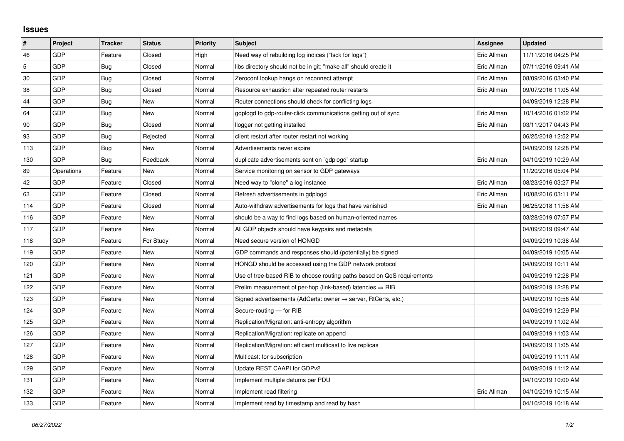## **Issues**

| $\vert$ #      | Project    | <b>Tracker</b> | <b>Status</b> | <b>Priority</b> | <b>Subject</b>                                                             | <b>Assignee</b> | <b>Updated</b>      |
|----------------|------------|----------------|---------------|-----------------|----------------------------------------------------------------------------|-----------------|---------------------|
| 46             | GDP        | Feature        | Closed        | High            | Need way of rebuilding log indices ("fsck for logs")                       | Eric Allman     | 11/11/2016 04:25 PM |
| $\overline{5}$ | GDP        | Bug            | Closed        | Normal          | libs directory should not be in git; "make all" should create it           | Eric Allman     | 07/11/2016 09:41 AM |
| 30             | <b>GDP</b> | Bug            | Closed        | Normal          | Zeroconf lookup hangs on reconnect attempt                                 | Eric Allman     | 08/09/2016 03:40 PM |
| 38             | GDP        | Bug            | Closed        | Normal          | Resource exhaustion after repeated router restarts                         | Eric Allman     | 09/07/2016 11:05 AM |
| 44             | GDP        | Bug            | New           | Normal          | Router connections should check for conflicting logs                       |                 | 04/09/2019 12:28 PM |
| 64             | GDP        | Bug            | New           | Normal          | gdplogd to gdp-router-click communications getting out of sync             | Eric Allman     | 10/14/2016 01:02 PM |
| 90             | GDP        | Bug            | Closed        | Normal          | llogger not getting installed                                              | Eric Allman     | 03/11/2017 04:43 PM |
| 93             | GDP        | Bug            | Rejected      | Normal          | client restart after router restart not working                            |                 | 06/25/2018 12:52 PM |
| 113            | GDP        | Bug            | New           | Normal          | Advertisements never expire                                                |                 | 04/09/2019 12:28 PM |
| 130            | GDP        | Bug            | Feedback      | Normal          | duplicate advertisements sent on `gdplogd` startup                         | Eric Allman     | 04/10/2019 10:29 AM |
| 89             | Operations | Feature        | New           | Normal          | Service monitoring on sensor to GDP gateways                               |                 | 11/20/2016 05:04 PM |
| 42             | GDP        | Feature        | Closed        | Normal          | Need way to "clone" a log instance                                         | Eric Allman     | 08/23/2016 03:27 PM |
| 63             | GDP        | Feature        | Closed        | Normal          | Refresh advertisements in gdplogd                                          | Eric Allman     | 10/08/2016 03:11 PM |
| 114            | GDP        | Feature        | Closed        | Normal          | Auto-withdraw advertisements for logs that have vanished                   | Eric Allman     | 06/25/2018 11:56 AM |
| 116            | GDP        | Feature        | New           | Normal          | should be a way to find logs based on human-oriented names                 |                 | 03/28/2019 07:57 PM |
| 117            | GDP        | Feature        | New           | Normal          | All GDP objects should have keypairs and metadata                          |                 | 04/09/2019 09:47 AM |
| 118            | GDP        | Feature        | For Study     | Normal          | Need secure version of HONGD                                               |                 | 04/09/2019 10:38 AM |
| 119            | GDP        | Feature        | New           | Normal          | GDP commands and responses should (potentially) be signed                  |                 | 04/09/2019 10:05 AM |
| 120            | GDP        | Feature        | New           | Normal          | HONGD should be accessed using the GDP network protocol                    |                 | 04/09/2019 10:11 AM |
| 121            | GDP        | Feature        | New           | Normal          | Use of tree-based RIB to choose routing paths based on QoS requirements    |                 | 04/09/2019 12:28 PM |
| 122            | GDP        | Feature        | New           | Normal          | Prelim measurement of per-hop (link-based) latencies $\Rightarrow$ RIB     |                 | 04/09/2019 12:28 PM |
| 123            | GDP        | Feature        | New           | Normal          | Signed advertisements (AdCerts: owner $\rightarrow$ server, RtCerts, etc.) |                 | 04/09/2019 10:58 AM |
| 124            | GDP        | Feature        | New           | Normal          | Secure-routing - for RIB                                                   |                 | 04/09/2019 12:29 PM |
| 125            | GDP        | Feature        | New           | Normal          | Replication/Migration: anti-entropy algorithm                              |                 | 04/09/2019 11:02 AM |
| 126            | GDP        | Feature        | New           | Normal          | Replication/Migration: replicate on append                                 |                 | 04/09/2019 11:03 AM |
| 127            | GDP        | Feature        | New           | Normal          | Replication/Migration: efficient multicast to live replicas                |                 | 04/09/2019 11:05 AM |
| 128            | GDP        | Feature        | New           | Normal          | Multicast: for subscription                                                |                 | 04/09/2019 11:11 AM |
| 129            | GDP        | Feature        | New           | Normal          | Update REST CAAPI for GDPv2                                                |                 | 04/09/2019 11:12 AM |
| 131            | GDP        | Feature        | New           | Normal          | Implement multiple datums per PDU                                          |                 | 04/10/2019 10:00 AM |
| 132            | GDP        | Feature        | New           | Normal          | Implement read filtering                                                   | Eric Allman     | 04/10/2019 10:15 AM |
| 133            | GDP        | Feature        | New           | Normal          | Implement read by timestamp and read by hash                               |                 | 04/10/2019 10:18 AM |